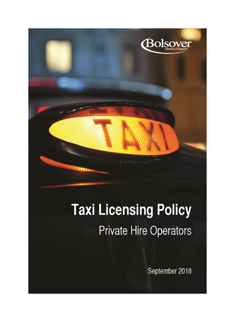

# **Taxi Licensing Policy Private Hire Operators**

September 2018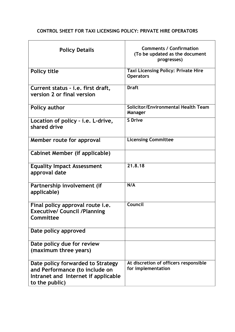# **CONTROL SHEET FOR TAXI LICENSING POLICY: PRIVATE HIRE OPERATORS**

| <b>Policy Details</b>                                                                                                        | <b>Comments / Confirmation</b><br>(To be updated as the document<br>progresses) |
|------------------------------------------------------------------------------------------------------------------------------|---------------------------------------------------------------------------------|
| <b>Policy title</b>                                                                                                          | <b>Taxi Licensing Policy: Private Hire</b><br><b>Operators</b>                  |
| Current status - i.e. first draft,<br>version 2 or final version                                                             | <b>Draft</b>                                                                    |
| Policy author                                                                                                                | Solicitor/Environmental Health Team<br>Manager                                  |
| Location of policy - i.e. L-drive,<br>shared drive                                                                           | <b>S</b> Drive                                                                  |
| Member route for approval                                                                                                    | <b>Licensing Committee</b>                                                      |
| Cabinet Member (if applicable)                                                                                               |                                                                                 |
| <b>Equality Impact Assessment</b><br>approval date                                                                           | 21.8.18                                                                         |
| Partnership involvement (if<br>applicable)                                                                                   | N/A                                                                             |
| Final policy approval route <i>i.e.</i><br><b>Executive/ Council /Planning</b><br>Committee                                  | Council                                                                         |
| Date policy approved                                                                                                         |                                                                                 |
| Date policy due for review<br>(maximum three years)                                                                          |                                                                                 |
| Date policy forwarded to Strategy<br>and Performance (to include on<br>Intranet and Internet if applicable<br>to the public) | At discretion of officers responsible<br>for implementation                     |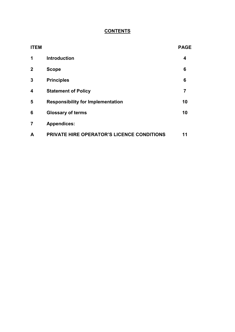# **CONTENTS**

| <b>ITEM</b>    |                                                   | <b>PAGE</b> |
|----------------|---------------------------------------------------|-------------|
| 1              | <b>Introduction</b>                               | 4           |
| $\mathbf{2}$   | <b>Scope</b>                                      | 6           |
| $\mathbf{3}$   | <b>Principles</b>                                 | 6           |
| 4              | <b>Statement of Policy</b>                        | 7           |
| 5              | <b>Responsibility for Implementation</b>          | 10          |
| 6              | <b>Glossary of terms</b>                          | 10          |
| $\overline{7}$ | <b>Appendices:</b>                                |             |
| A              | <b>PRIVATE HIRE OPERATOR'S LICENCE CONDITIONS</b> | 11          |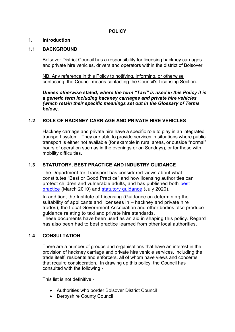# **POLICY**

#### **1. Introduction**

#### **1.1 BACKGROUND**

Bolsover District Council has a responsibility for licensing hackney carriages and private hire vehicles, drivers and operators within the district of Bolsover.

NB. Any reference in this Policy to notifying, informing, or otherwise contacting, the Council means contacting the Council's Licensing Section.

*Unless otherwise stated, where the term "Taxi" is used in this Policy it is a generic term including hackney carriages and private hire vehicles (which retain their specific meanings set out in the Glossary of Terms below).*

#### **1.2 ROLE OF HACKNEY CARRIAGE AND PRIVATE HIRE VEHICLES**

Hackney carriage and private hire have a specific role to play in an integrated transport system. They are able to provide services in situations where public transport is either not available (for example in rural areas, or outside "normal" hours of operation such as in the evenings or on Sundays), or for those with mobility difficulties.

#### **1.3 STATUTORY, BEST PRACTICE AND INDUSTRY GUIDANCE**

The Department for Transport has considered views about what constitutes "Best or Good Practice" and how licensing authorities can protect children and vulnerable adults, and has published both [best](https://www.gov.uk/government/publications/taxi-and-private-hire-vehicle-licensing-best-practice-guidance)  [practice](https://www.gov.uk/government/publications/taxi-and-private-hire-vehicle-licensing-best-practice-guidance) (March 2010) and [statutory guidance](https://www.gov.uk/government/publications/statutory-taxi-and-private-hire-vehicle-standards) (July 2020).

In addition, the Institute of Licensing (Guidance on determining the suitability of applicants and licensees in – hackney and private hire trades), the Local Government Association and other bodies also produce guidance relating to taxi and private hire standards.

These documents have been used as an aid in shaping this policy. Regard has also been had to best practice learned from other local authorities.

#### **1.4 CONSULTATION**

There are a number of groups and organisations that have an interest in the provision of hackney carriage and private hire vehicle services, including the trade itself, residents and enforcers, all of whom have views and concerns that require consideration. In drawing up this policy, the Council has consulted with the following -

This list is not definitive -

- Authorities who border Bolsover District Council
- Derbyshire County Council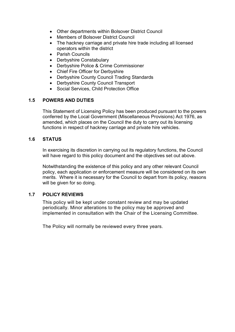- Other departments within Bolsover District Council
- Members of Bolsover District Council
- The hackney carriage and private hire trade including all licensed operators within the district
- Parish Councils
- Derbyshire Constabulary
- Derbyshire Police & Crime Commissioner
- Chief Fire Officer for Derbyshire
- Derbyshire County Council Trading Standards
- Derbyshire County Council Transport
- Social Services, Child Protection Office

# **1.5 POWERS AND DUTIES**

This Statement of Licensing Policy has been produced pursuant to the powers conferred by the Local Government (Miscellaneous Provisions) Act 1976, as amended, which places on the Council the duty to carry out its licensing functions in respect of hackney carriage and private hire vehicles.

#### **1.6 STATUS**

In exercising its discretion in carrying out its regulatory functions, the Council will have regard to this policy document and the objectives set out above.

Notwithstanding the existence of this policy and any other relevant Council policy, each application or enforcement measure will be considered on its own merits. Where it is necessary for the Council to depart from its policy, reasons will be given for so doing.

# **1.7 POLICY REVIEWS**

This policy will be kept under constant review and may be updated periodically. Minor alterations to the policy may be approved and implemented in consultation with the Chair of the Licensing Committee.

The Policy will normally be reviewed every three years.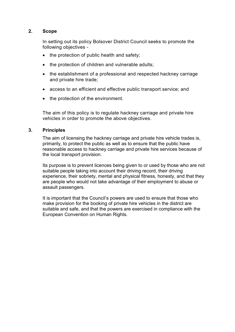#### **2. Scope**

In setting out its policy Bolsover District Council seeks to promote the following objectives -

- the protection of public health and safety;
- the protection of children and vulnerable adults;
- the establishment of a professional and respected hackney carriage and private hire trade;
- access to an efficient and effective public transport service; and
- the protection of the environment.

The aim of this policy is to regulate hackney carriage and private hire vehicles in order to promote the above objectives.

#### **3. Principles**

The aim of licensing the hackney carriage and private hire vehicle trades is, primarily, to protect the public as well as to ensure that the public have reasonable access to hackney carriage and private hire services because of the local transport provision.

Its purpose is to prevent licences being given to or used by those who are not suitable people taking into account their driving record, their driving experience, their sobriety, mental and physical fitness, honesty, and that they are people who would not take advantage of their employment to abuse or assault passengers.

It is important that the Council's powers are used to ensure that those who make provision for the booking of private hire vehicles in the district are suitable and safe, and that the powers are exercised in compliance with the European Convention on Human Rights.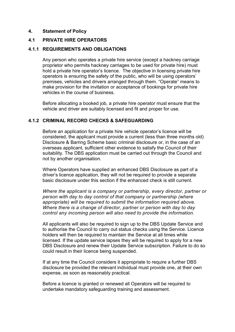#### **4. Statement of Policy**

#### **4.1 PRIVATE HIRE OPERATORS**

#### **4.1.1 REQUIREMENTS AND OBLIGATIONS**

Any person who operates a private hire service (except a hackney carriage proprietor who permits hackney carriages to be used for private hire) must hold a private hire operator's licence. The objective in licensing private hire operators is ensuring the safety of the public, who will be using operators' premises, vehicles and drivers arranged through them. "Operate" means to make provision for the invitation or acceptance of bookings for private hire vehicles in the course of business.

Before allocating a booked job, a private hire operator must ensure that the vehicle and driver are suitably licensed and fit and proper for use.

#### **4.1.2 CRIMINAL RECORD CHECKS & SAFEGUARDING**

Before an application for a private hire vehicle operator's licence will be considered, the applicant must provide a current (less than three months old) Disclosure & Barring Scheme basic criminal disclosure or, in the case of an overseas applicant, sufficient other evidence to satisfy the Council of their suitability. The DBS application must be carried out through the Council and not by another organisation.

Where Operators have supplied an enhanced DBS Disclosure as part of a driver's licence application, they will not be required to provide a separate basic disclosure under this section if the enhanced check is still current.

*Where the applicant is a company or partnership, every director, partner or person with day to day control of that company or partnership (where appropriate) will be required to submit the information required above. Where there is a change of director, partner or person with day to day control any incoming person will also need to provide the information.*

All applicants will also be required to sign up to the DBS Update Service and to authorise the Council to carry out status checks using the Service. Licence holders will then be required to maintain the Service at all times while licensed. If the update service lapses they will be required to apply for a new DBS Disclosure and renew their Update Service subscription. Failure to do so could result in their licence being suspended.

If at any time the Council considers it appropriate to require a further DBS disclosure be provided the relevant individual must provide one, at their own expense, as soon as reasonably practical.

Before a licence is granted or renewed all Operators will be required to undertake mandatory safeguarding training and assessment.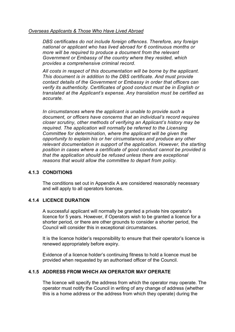#### *Overseas Applicants & Those Who Have Lived Abroad*

*DBS certificates do not include foreign offences. Therefore, any foreign national or applicant who has lived abroad for 6 continuous months or more will be required to produce a document from the relevant Government or Embassy of the country where they resided, which provides a comprehensive criminal record.* 

*All costs in respect of this documentation will be borne by the applicant. This document is in addition to the DBS certificate. And must provide contact details of the Government or Embassy in order that officers can verify its authenticity. Certificates of good conduct must be in English or translated at the Applicant's expense. Any translation must be certified as accurate.*

*In circumstances where the applicant is unable to provide such a document, or officers have concerns that an individual's record requires closer scrutiny, other methods of verifying an Applicant's history may be required. The application will normally be referred to the Licensing Committee for determination, where the applicant will be given the opportunity to explain his or her circumstances and produce any other relevant documentation in support of the application. However, the starting position in cases where a certificate of good conduct cannot be provided is that the application should be refused unless there are exceptional reasons that would allow the committee to depart from policy.*

#### **4.1.3 CONDITIONS**

The conditions set out in Appendix A are considered reasonably necessary and will apply to all operators licences.

#### **4.1.4 LICENCE DURATION**

A successful applicant will normally be granted a private hire operator's licence for 5 years. However, if Operators wish to be granted a licence for a shorter period, or there are other grounds to consider a shorter period, the Council will consider this in exceptional circumstances.

It is the licence holder's responsibility to ensure that their operator's licence is renewed appropriately before expiry.

Evidence of a licence holder's continuing fitness to hold a licence must be provided when requested by an authorised officer of the Council.

#### **4.1.5 ADDRESS FROM WHICH AN OPERATOR MAY OPERATE**

The licence will specify the address from which the operator may operate. The operator must notify the Council in writing of any change of address (whether this is a home address or the address from which they operate) during the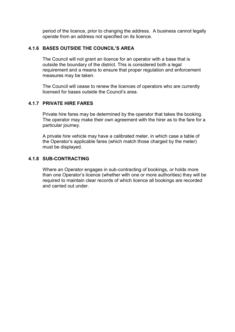period of the licence, prior to changing the address. A business cannot legally operate from an address not specified on its licence.

## **4.1.6 BASES OUTSIDE THE COUNCIL'S AREA**

The Council will not grant an licence for an operator with a base that is outside the boundary of the district. This is considered both a legal requirement and a means to ensure that proper regulation and enforcement measures may be taken.

The Council will cease to renew the licences of operators who are currently licensed for bases outside the Council's area.

#### **4.1.7 PRIVATE HIRE FARES**

Private hire fares may be determined by the operator that takes the booking. The operator may make their own agreement with the hirer as to the fare for a particular journey.

A private hire vehicle may have a calibrated meter, in which case a table of the Operator's applicable fares (which match those charged by the meter) must be displayed.

#### **4.1.8 SUB-CONTRACTING**

Where an Operator engages in sub-contracting of bookings, or holds more than one Operator's licence (whether with one or more authorities) they will be required to maintain clear records of which licence all bookings are recorded and carried out under.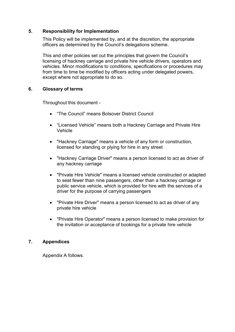#### **5. Responsibility for Implementation**

This Policy will be implemented by, and at the discretion, the appropriate officers as determined by the Council's delegations scheme.

This and other policies set out the principles that govern the Council's licensing of hackney carriage and private hire vehicle drivers, operators and vehicles. Minor modifications to conditions, specifications or procedures may from time to time be modified by officers acting under delegated powers, except where not appropriate to do so.

#### **6. Glossary of terms**

Throughout this document -

- "The Council" means Bolsover District Council
- "Licensed Vehicle" means both a Hackney Carriage and Private Hire Vehicle
- "Hackney Carriage" means a vehicle of any form or construction, licensed for standing or plying for hire in any street
- "Hackney Carriage Driver" means a person licensed to act as driver of any hackney carriage
- "Private Hire Vehicle" means a licensed vehicle constructed or adapted to seat fewer than nine passengers, other than a hackney carriage or public service vehicle, which is provided for hire with the services of a driver for the purpose of carrying passengers
- "Private Hire Driver" means a person licensed to act as driver of any private hire vehicle
- "Private Hire Operator" means a person licensed to make provision for the invitation or acceptance of bookings for a private hire vehicle

# **7. Appendices**

Appendix A follows.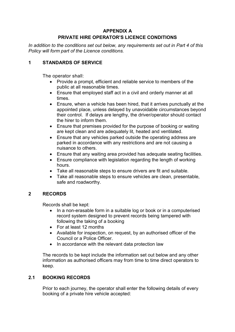# **APPENDIX A PRIVATE HIRE OPERATOR'S LICENCE CONDITIONS**

*In addition to the conditions set out below, any requirements set out in Part 4 of this Policy will form part of the Licence conditions.*

# **1 STANDARDS OF SERVICE**

The operator shall:

- Provide a prompt, efficient and reliable service to members of the public at all reasonable times.
- Ensure that employed staff act in a civil and orderly manner at all times.
- Ensure, when a vehicle has been hired, that it arrives punctually at the appointed place, unless delayed by unavoidable circumstances beyond their control. If delays are lengthy, the driver/operator should contact the hirer to inform them.
- Ensure that premises provided for the purpose of booking or waiting are kept clean and are adequately lit, heated and ventilated.
- Ensure that any vehicles parked outside the operating address are parked in accordance with any restrictions and are not causing a nuisance to others.
- Ensure that any waiting area provided has adequate seating facilities.
- Ensure compliance with legislation regarding the length of working hours.
- Take all reasonable steps to ensure drivers are fit and suitable.
- Take all reasonable steps to ensure vehicles are clean, presentable, safe and roadworthy.

# **2 RECORDS**

Records shall be kept:

- In a non-erasable form in a suitable log or book or in a computerised record system designed to prevent records being tampered with following the taking of a booking
- For at least 12 months
- Available for inspection, on request, by an authorised officer of the Council or a Police Officer.
- In accordance with the relevant data protection law

The records to be kept include the information set out below and any other information as authorised officers may from time to time direct operators to keep.

# **2.1 BOOKING RECORDS**

Prior to each journey, the operator shall enter the following details of every booking of a private hire vehicle accepted: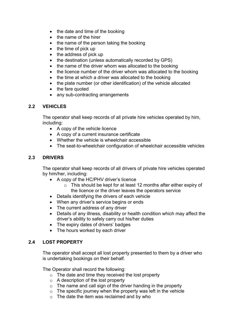- $\bullet$  the date and time of the booking
- the name of the hirer
- the name of the person taking the booking
- $\bullet$  the time of pick up
- the address of pick up
- the destination (unless automatically recorded by GPS)
- the name of the driver whom was allocated to the booking
- the licence number of the driver whom was allocated to the booking
- the time at which a driver was allocated to the booking
- the plate number (or other identification) of the vehicle allocated
- the fare quoted
- any sub-contracting arrangements

# **2.2 VEHICLES**

The operator shall keep records of all private hire vehicles operated by him, including:

- A copy of the vehicle licence
- A copy of a current insurance certificate
- Whether the vehicle is wheelchair accessible
- The seat-to-wheelchair configuration of wheelchair accessible vehicles

# **2.3 DRIVERS**

The operator shall keep records of all drivers of private hire vehicles operated by him/her, including:

- A copy of the HC/PHV driver's licence
	- $\circ$  This should be kept for at least 12 months after either expiry of the licence or the driver leaves the operators service
- Details identifying the drivers of each vehicle
- When any driver's service begins or ends
- The current address of any driver
- Details of any illness, disability or health condition which may affect the driver's ability to safely carry out his/her duties
- The expiry dates of drivers' badges
- The hours worked by each driver

# **2.4 LOST PROPERTY**

The operator shall accept all lost property presented to them by a driver who is undertaking bookings on their behalf.

The Operator shall record the following:

- $\circ$  The date and time they received the lost property
- $\circ$  A description of the lost property
- $\circ$  The name and call sign of the driver handing in the property
- $\circ$  The specific journey when the property was left in the vehicle
- o The date the item was reclaimed and by who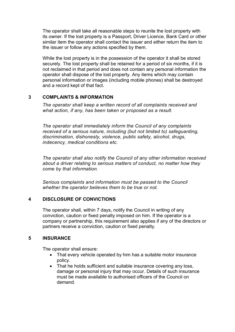The operator shall take all reasonable steps to reunite the lost property with its owner. If the lost property is a Passport, Driver Licence, Bank Card or other similar item the operator shall contact the issuer and either return the item to the issuer or follow any actions specified by them.

While the lost property is in the possession of the operator it shall be stored securely. The lost property shall be retained for a period of six months, if it is not reclaimed in that period and does not contain any personal information the operator shall dispose of the lost property. Any items which may contain personal information or images (including mobile phones) shall be destroyed and a record kept of that fact.

#### **3 COMPLAINTS & INFORMATION**

*The operator shall keep a written record of all complaints received and what action, if any, has been taken or proposed as a result.*

*The operator shall immediately inform the Council of any complaints received of a serious nature, including (but not limited to) safeguarding, discrimination, dishonesty, violence, public safety, alcohol, drugs, indecency, medical conditions etc.*

*The operator shall also notify the Council of any other information received about a driver relating to serious matters of conduct, no matter how they come by that information.*

*Serious complaints and information must be passed to the Council whether the operator believes them to be true or not.*

# **4 DISCLOSURE OF CONVICTIONS**

The operator shall, within 7 days, notify the Council in writing of any conviction, caution or fixed penalty imposed on him. If the operator is a company or partnership, this requirement also applies if any of the directors or partners receive a conviction, caution or fixed penalty.

# **5 INSURANCE**

The operator shall ensure:

- That every vehicle operated by him has a suitable motor insurance policy.
- That he holds sufficient and suitable insurance covering any loss, damage or personal injury that may occur. Details of such insurance must be made available to authorised officers of the Council on demand.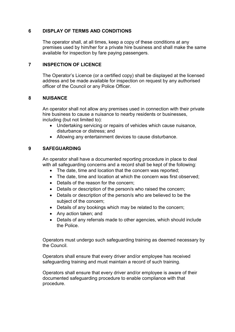### **6 DISPLAY OF TERMS AND CONDITIONS**

The operator shall, at all times, keep a copy of these conditions at any premises used by him/her for a private hire business and shall make the same available for inspection by fare paying passengers.

#### **7 INSPECTION OF LICENCE**

The Operator's Licence (or a certified copy) shall be displayed at the licensed address and be made available for inspection on request by any authorised officer of the Council or any Police Officer.

#### **8 NUISANCE**

An operator shall not allow any premises used in connection with their private hire business to cause a nuisance to nearby residents or businesses, including (but not limited to):

- Undertaking servicing or repairs of vehicles which cause nuisance, disturbance or distress; and
- Allowing any entertainment devices to cause disturbance.

#### **9 SAFEGUARDING**

An operator shall have a documented reporting procedure in place to deal with all safeguarding concerns and a record shall be kept of the following:

- The date, time and location that the concern was reported;
- The date, time and location at which the concern was first observed;
- Details of the reason for the concern;
- Details or description of the person/s who raised the concern;
- Details or description of the person/s who are believed to be the subject of the concern;
- Details of any bookings which may be related to the concern;
- Any action taken; and
- Details of any referrals made to other agencies, which should include the Police.

Operators must undergo such safeguarding training as deemed necessary by the Council.

Operators shall ensure that every driver and/or employee has received safeguarding training and must maintain a record of such training.

Operators shall ensure that every driver and/or employee is aware of their documented safeguarding procedure to enable compliance with that procedure.